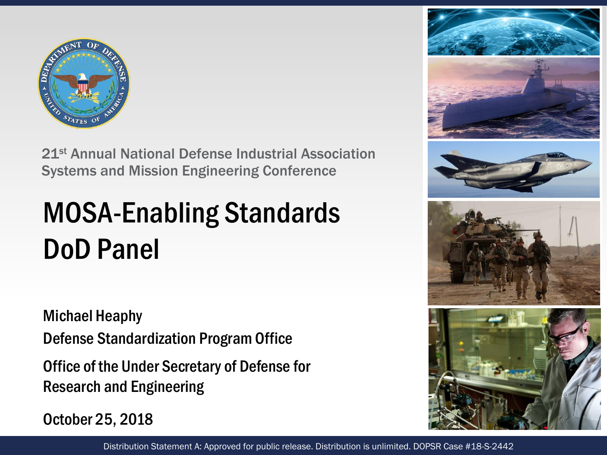

21st Annual National Defense Industrial Association Systems and Mission Engineering Conference

## MOSA-Enabling Standards DoD Panel

Michael Heaphy

Defense Standardization Program Office

Office of the Under Secretary of Defense for Research and Engineering

October 25, 2018

Distribution Statement A: Approved for public release. Distribution is unlimited. DOPSR Case #18-S-2442

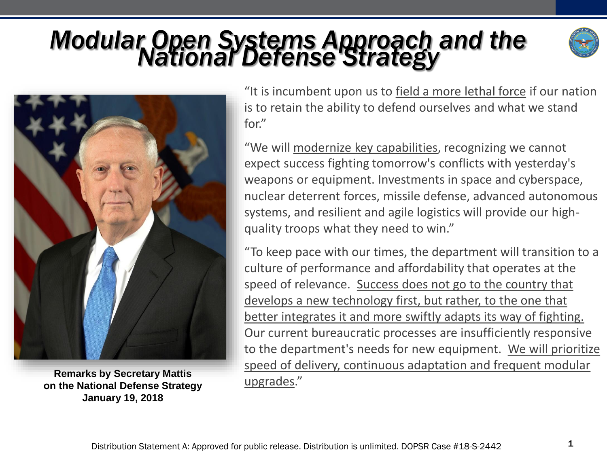# *Modular Open Systems Approach and the National Defense Strategy*





**Remarks by Secretary Mattis**<br> **on the National Defense Strategy Langley Mattional Defense Strategy January 19, 2018**

"It is incumbent upon us to field a more lethal force if our nation is to retain the ability to defend ourselves and what we stand for."

"We will modernize key capabilities, recognizing we cannot expect success fighting tomorrow's conflicts with yesterday's weapons or equipment. Investments in space and cyberspace, nuclear deterrent forces, missile defense, advanced autonomous systems, and resilient and agile logistics will provide our highquality troops what they need to win."

"To keep pace with our times, the department will transition to a culture of performance and affordability that operates at the speed of relevance. Success does not go to the country that develops a new technology first, but rather, to the one that better integrates it and more swiftly adapts its way of fighting. Our current bureaucratic processes are insufficiently responsive to the department's needs for new equipment. We will prioritize speed of delivery, continuous adaptation and frequent modular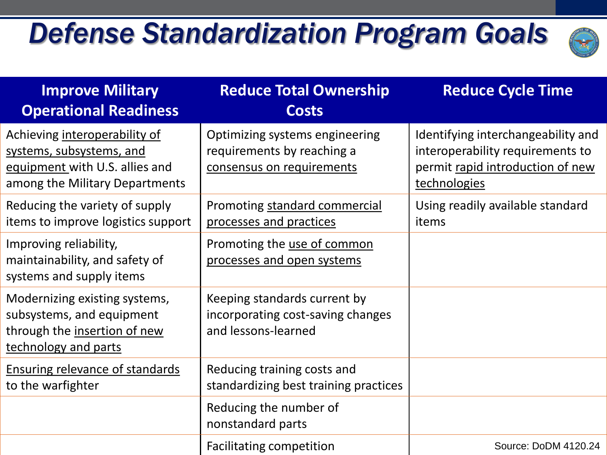## *Defense Standardization Program Goals*



| <b>Improve Military</b><br><b>Operational Readiness</b>                                                                       | <b>Reduce Total Ownership</b><br><b>Costs</b>                                             | <b>Reduce Cycle Time</b>                                                                                                   |
|-------------------------------------------------------------------------------------------------------------------------------|-------------------------------------------------------------------------------------------|----------------------------------------------------------------------------------------------------------------------------|
| Achieving interoperability of<br>systems, subsystems, and<br>equipment with U.S. allies and<br>among the Military Departments | Optimizing systems engineering<br>requirements by reaching a<br>consensus on requirements | Identifying interchangeability and<br>interoperability requirements to<br>permit rapid introduction of new<br>technologies |
| Reducing the variety of supply<br>items to improve logistics support                                                          | Promoting standard commercial<br>processes and practices                                  | Using readily available standard<br>items                                                                                  |
| Improving reliability,<br>maintainability, and safety of<br>systems and supply items                                          | Promoting the use of common<br>processes and open systems                                 |                                                                                                                            |
| Modernizing existing systems,<br>subsystems, and equipment<br>through the insertion of new<br>technology and parts            | Keeping standards current by<br>incorporating cost-saving changes<br>and lessons-learned  |                                                                                                                            |
| <b>Ensuring relevance of standards</b><br>to the warfighter                                                                   | Reducing training costs and<br>standardizing best training practices                      |                                                                                                                            |
|                                                                                                                               | Reducing the number of<br>nonstandard parts                                               |                                                                                                                            |
|                                                                                                                               | <b>Facilitating competition</b>                                                           | Source: DoDM 4120.24                                                                                                       |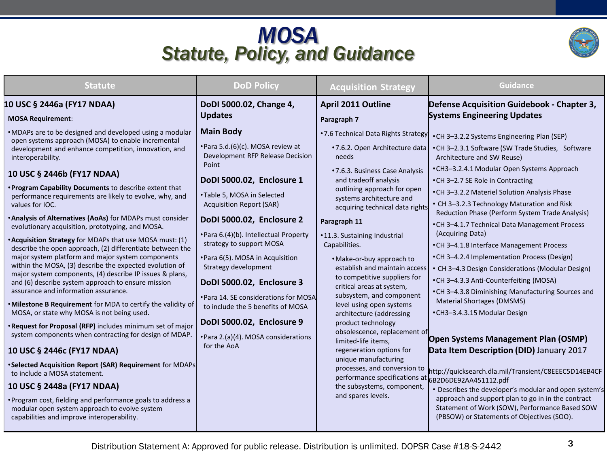### *MOSA Statute, Policy, and Guidance*



| <b>Statute</b>                                                                                                                                                                                                                                                                                                                                                                                                                                                                                                                                                                                                                                                                                                                                                                                                                                                                                                                                                                                                                                                                                                                                                                                                                                                                                                                                                                                                                                          | <b>DoD Policy</b>                                                                                                                                                                                                                                                                                                                                                                                                                                                                                                                                              | <b>Acquisition Strategy</b>                                                                                                                                                                                                                                                                                                                                                                                                                                                                                                                                                                                                                                                                                                                                                                          | <b>Guidance</b>                                                                                                                                                                                                                                                                                                                                                                                                                                                                                                                                                                                                                                                                                                                                                                                                                                                                                                                                                                                                                                                                                               |
|---------------------------------------------------------------------------------------------------------------------------------------------------------------------------------------------------------------------------------------------------------------------------------------------------------------------------------------------------------------------------------------------------------------------------------------------------------------------------------------------------------------------------------------------------------------------------------------------------------------------------------------------------------------------------------------------------------------------------------------------------------------------------------------------------------------------------------------------------------------------------------------------------------------------------------------------------------------------------------------------------------------------------------------------------------------------------------------------------------------------------------------------------------------------------------------------------------------------------------------------------------------------------------------------------------------------------------------------------------------------------------------------------------------------------------------------------------|----------------------------------------------------------------------------------------------------------------------------------------------------------------------------------------------------------------------------------------------------------------------------------------------------------------------------------------------------------------------------------------------------------------------------------------------------------------------------------------------------------------------------------------------------------------|------------------------------------------------------------------------------------------------------------------------------------------------------------------------------------------------------------------------------------------------------------------------------------------------------------------------------------------------------------------------------------------------------------------------------------------------------------------------------------------------------------------------------------------------------------------------------------------------------------------------------------------------------------------------------------------------------------------------------------------------------------------------------------------------------|---------------------------------------------------------------------------------------------------------------------------------------------------------------------------------------------------------------------------------------------------------------------------------------------------------------------------------------------------------------------------------------------------------------------------------------------------------------------------------------------------------------------------------------------------------------------------------------------------------------------------------------------------------------------------------------------------------------------------------------------------------------------------------------------------------------------------------------------------------------------------------------------------------------------------------------------------------------------------------------------------------------------------------------------------------------------------------------------------------------|
| 10 USC § 2446a (FY17 NDAA)<br><b>MOSA Requirement:</b>                                                                                                                                                                                                                                                                                                                                                                                                                                                                                                                                                                                                                                                                                                                                                                                                                                                                                                                                                                                                                                                                                                                                                                                                                                                                                                                                                                                                  | DoDI 5000.02, Change 4,<br><b>Updates</b>                                                                                                                                                                                                                                                                                                                                                                                                                                                                                                                      | <b>April 2011 Outline</b><br>Paragraph 7                                                                                                                                                                                                                                                                                                                                                                                                                                                                                                                                                                                                                                                                                                                                                             | Defense Acquisition Guidebook - Chapter 3,<br><b>Systems Engineering Updates</b>                                                                                                                                                                                                                                                                                                                                                                                                                                                                                                                                                                                                                                                                                                                                                                                                                                                                                                                                                                                                                              |
| . MDAPs are to be designed and developed using a modular<br>open systems approach (MOSA) to enable incremental<br>development and enhance competition, innovation, and<br>interoperability.<br>10 USC § 2446b (FY17 NDAA)<br>. Program Capability Documents to describe extent that<br>performance requirements are likely to evolve, why, and<br>values for IOC.<br>. Analysis of Alternatives (AoAs) for MDAPs must consider<br>evolutionary acquisition, prototyping, and MOSA.<br><b>*Acquisition Strategy</b> for MDAPs that use MOSA must: (1)<br>describe the open approach, (2) differentiate between the<br>major system platform and major system components<br>within the MOSA, (3) describe the expected evolution of<br>major system components, (4) describe IP issues & plans,<br>and (6) describe system approach to ensure mission<br>assurance and information assurance.<br>. Milestone B Requirement for MDA to certify the validity of<br>MOSA, or state why MOSA is not being used.<br>. Request for Proposal (RFP) includes minimum set of major<br>system components when contracting for design of MDAP.<br>10 USC § 2446c (FY17 NDAA)<br>*Selected Acquisition Report (SAR) Requirement for MDAPs<br>to include a MOSA statement.<br>10 USC § 2448a (FY17 NDAA)<br>• Program cost, fielding and performance goals to address a<br>modular open system approach to evolve system<br>capabilities and improve interoperability. | <b>Main Body</b><br>• Para 5.d.(6)(c). MOSA review at<br>Development RFP Release Decision<br>Point<br>DoDI 5000.02, Enclosure 1<br>•Table 5, MOSA in Selected<br><b>Acquisition Report (SAR)</b><br>DoDI 5000.02, Enclosure 2<br>• Para 6.(4)(b). Intellectual Property<br>strategy to support MOSA<br>• Para 6(5). MOSA in Acquisition<br>Strategy development<br>DoDI 5000.02, Enclosure 3<br>• Para 14. SE considerations for MOSA<br>to include the 5 benefits of MOSA<br>DoDI 5000.02, Enclosure 9<br>• Para 2.(a)(4). MOSA considerations<br>for the AoA | .7.6 Technical Data Rights Strategy<br>.7.6.2. Open Architecture data<br>needs<br>• 7.6.3. Business Case Analysis<br>and tradeoff analysis<br>outlining approach for open<br>systems architecture and<br>acquiring technical data rights<br>Paragraph 11<br>•11.3. Sustaining Industrial<br>Capabilities.<br>• Make-or-buy approach to<br>establish and maintain access<br>to competitive suppliers for<br>critical areas at system,<br>subsystem, and component<br>level using open systems<br>architecture (addressing<br>product technology<br>obsolescence, replacement of<br>limited-life items,<br>regeneration options for<br>unique manufacturing<br>processes, and conversion to<br>performance specifications at 6B2D6DE92AA451112.pdf<br>the subsystems, component,<br>and spares levels. | •CH 3-3.2.2 Systems Engineering Plan (SEP)<br>•CH 3-2.3.1 Software (SW Trade Studies, Software<br>Architecture and SW Reuse)<br>•CH3-3.2.4.1 Modular Open Systems Approach<br>•CH 3-2.7 SE Role in Contracting<br>•CH 3-3.2.2 Materiel Solution Analysis Phase<br>• CH 3-3.2.3 Technology Maturation and Risk<br>Reduction Phase (Perform System Trade Analysis)<br>• CH 3-4.1.7 Technical Data Management Process<br>(Acquiring Data)<br>•CH 3-4.1.8 Interface Management Process<br>•CH 3-4.2.4 Implementation Process (Design)<br>• CH 3-4.3 Design Considerations (Modular Design)<br>•CH 3-4.3.3 Anti-Counterfeiting (MOSA)<br>•CH 3-4.3.8 Diminishing Manufacturing Sources and<br>Material Shortages (DMSMS)<br>•CH3-3.4.3.15 Modular Design<br>Open Systems Management Plan (OSMP)<br>Data Item Description (DID) January 2017<br>http://quicksearch.dla.mil/Transient/C8EEEC5D14EB4CF<br>• Describes the developer's modular and open system's<br>approach and support plan to go in in the contract<br>Statement of Work (SOW), Performance Based SOW<br>(PBSOW) or Statements of Objectives (SOO). |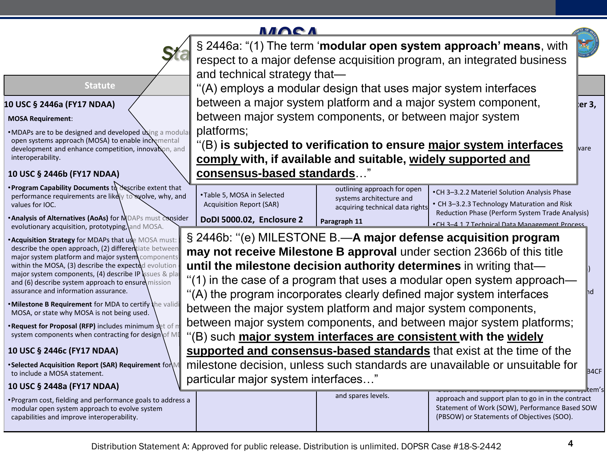## **MACA**

|                                                                      | § 2446a: "(1) The term 'modular open system approach' means, with<br>respect to a major defense acquisition program, an integrated business<br>and technical strategy that- |                                                         |                                                                                                      |  |  |
|----------------------------------------------------------------------|-----------------------------------------------------------------------------------------------------------------------------------------------------------------------------|---------------------------------------------------------|------------------------------------------------------------------------------------------------------|--|--|
| <b>Statute</b>                                                       | "(A) employs a modular design that uses major system interfaces                                                                                                             |                                                         |                                                                                                      |  |  |
| NDAA)                                                                | between a major system platform and a major system component,<br>er 3,                                                                                                      |                                                         |                                                                                                      |  |  |
|                                                                      | between major system components, or between major system                                                                                                                    |                                                         |                                                                                                      |  |  |
| ed and developed using a modula                                      | platforms;                                                                                                                                                                  |                                                         |                                                                                                      |  |  |
| (MOSA) to enable incremental<br>nce competition, innovation, and     | "(B) is subjected to verification to ensure major system interfaces<br><b>vare</b>                                                                                          |                                                         |                                                                                                      |  |  |
|                                                                      | comply with, if available and suitable, widely supported and                                                                                                                |                                                         |                                                                                                      |  |  |
| <b>7 NDAA)</b>                                                       | consensus-based standards"                                                                                                                                                  |                                                         |                                                                                                      |  |  |
| uments to describe extent that<br>nts are likely to evolve, why, and | •Table 5, MOSA in Selected                                                                                                                                                  | outlining approach for open<br>systems architecture and | •CH 3-3.2.2 Materiel Solution Analysis Phase                                                         |  |  |
|                                                                      | <b>Acquisition Report (SAR)</b>                                                                                                                                             | acquiring technical data rights                         | • CH 3-3.2.3 Technology Maturation and Risk                                                          |  |  |
| (AoAs) for MDAPs must consider<br>, prototyping, and MOSA.           | DoDI 5000.02, Enclosure 2                                                                                                                                                   | Paragraph 11                                            | Reduction Phase (Perform System Trade Analysis)<br>. CH 3-4 1 7 Technical Data Management Process    |  |  |
| MDAPs that use MOSA must:                                            |                                                                                                                                                                             |                                                         | § 2446b: "(e) MILESTONE B.—A major defense acquisition program                                       |  |  |
| oach, (2) differentiate between<br>and major system components       | may not receive Milestone B approval under section 2366b of this title                                                                                                      |                                                         |                                                                                                      |  |  |
| scribe the expected evolution                                        | until the milestone decision authority determines in writing that-                                                                                                          |                                                         |                                                                                                      |  |  |
| nts, (4) describe IP ssues & plai<br>approach to ensure mission      | "(1) in the case of a program that uses a modular open system approach—                                                                                                     |                                                         |                                                                                                      |  |  |
| ion assurance.                                                       | "(A) the program incorporates clearly defined major system interfaces<br>hd                                                                                                 |                                                         |                                                                                                      |  |  |
| nt for MDA to certify the validi<br>SA is not being used.            | between the major system platform and major system components,                                                                                                              |                                                         |                                                                                                      |  |  |
| <b>:FP) includes minimum set of m</b>                                | between major system components, and between major system platforms;                                                                                                        |                                                         |                                                                                                      |  |  |
| en contracting for design of MI                                      | (B) such major system interfaces are consistent with the widely                                                                                                             |                                                         |                                                                                                      |  |  |
| 7 NDAA)                                                              | supported and consensus-based standards that exist at the time of the                                                                                                       |                                                         |                                                                                                      |  |  |
| port (SAR) Requirement for $\mathbb{M}$<br>ment.                     | milestone decision, unless such standards are unavailable or unsuitable for<br><b>B4CF</b>                                                                                  |                                                         |                                                                                                      |  |  |
| 7 NDAA)                                                              | particular major system interfaces"                                                                                                                                         |                                                         |                                                                                                      |  |  |
| nd performance goals to address a<br>oproach to evolve system        |                                                                                                                                                                             | and spares levels.                                      | approach and support plan to go in in the contract<br>Statement of Work (SOW), Performance Based SOW |  |  |

#### **10 USC § 2446a (FY17 NDAA)**

#### **MOSA Requirement**:

•MDAPs are to be designed and developed  $\alpha$  and open systems approach (MOSA) to enable incremental development and enhance competition, innovation, and interoperability.

#### **10 USC § 2446b (FY17 NDAA)**

- **Program Capability Documents** to describe extent that performance requirements are likely to evolve, why, and values for IOC.
- •**Analysis of Alternatives (AoAs)** for MDAPs must consider evolutionary acquisition, prototyping, and MOSA.
- **Acquisition Strategy for MDAPs that use MOSA must:** describe the open approach, (2) differentiate between major system platform and major system components within the MOSA,  $(3)$  describe the expected evolution major system components, (4) describe IP ssues & plans and (6) describe system approach to ensure mission assurance and information assurance.
- Milestone B Requirement for MDA to certify the validi MOSA, or state why MOSA is not being used.
- **•Request for Proposal (RFP)** includes minimum set of m system components when contracting for design of MD

#### **10 USC § 2446c (FY17 NDAA)**

•**Selected Acquisition Report (SAR) Requirement** for M to include a MOSA statement.

#### **10 USC § 2448a (FY17 NDAA)**

• Program cost, fielding and performance goals to addres modular open system approach to evolve system capabilities and improve interoperability.

(PBSOW) or Statements of Objectives (SOO).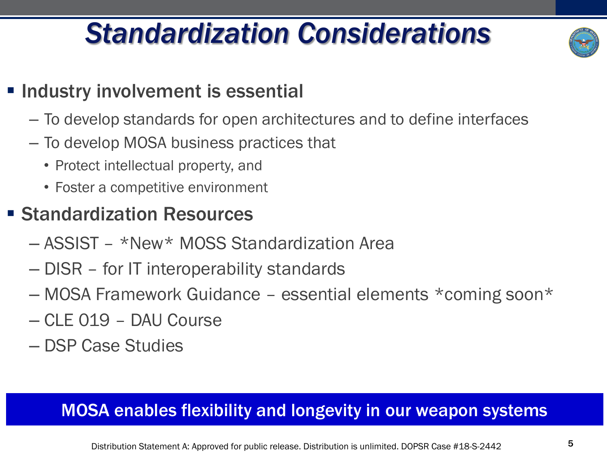## *Standardization Considerations*



## **Example 1 Industry involvement is essential**

- To develop standards for open architectures and to define interfaces
- To develop MOSA business practices that
	- Protect intellectual property, and
	- Foster a competitive environment

## ■ Standardization Resources

- ASSIST \*New\* MOSS Standardization Area
- DISR for IT interoperability standards
- MOSA Framework Guidance essential elements \*coming soon\*
- CLE 019 DAU Course
- DSP Case Studies

### MOSA enables flexibility and longevity in our weapon systems